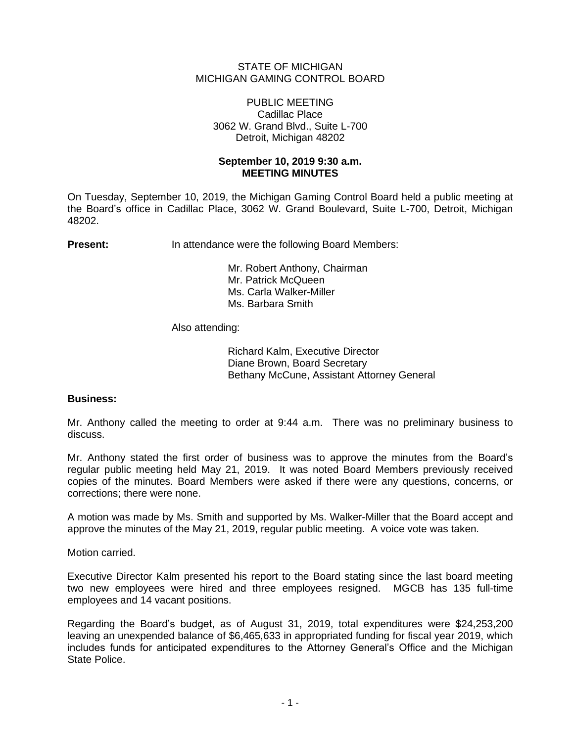### STATE OF MICHIGAN MICHIGAN GAMING CONTROL BOARD

#### PUBLIC MEETING Cadillac Place 3062 W. Grand Blvd., Suite L-700 Detroit, Michigan 48202

## **September 10, 2019 9:30 a.m. MEETING MINUTES**

On Tuesday, September 10, 2019, the Michigan Gaming Control Board held a public meeting at the Board's office in Cadillac Place, 3062 W. Grand Boulevard, Suite L-700, Detroit, Michigan 48202.

**Present:** In attendance were the following Board Members:

Mr. Robert Anthony, Chairman Mr. Patrick McQueen Ms. Carla Walker-Miller Ms. Barbara Smith

Also attending:

Richard Kalm, Executive Director Diane Brown, Board Secretary Bethany McCune, Assistant Attorney General

#### **Business:**

Mr. Anthony called the meeting to order at 9:44 a.m. There was no preliminary business to discuss.

Mr. Anthony stated the first order of business was to approve the minutes from the Board's regular public meeting held May 21, 2019. It was noted Board Members previously received copies of the minutes. Board Members were asked if there were any questions, concerns, or corrections; there were none.

A motion was made by Ms. Smith and supported by Ms. Walker-Miller that the Board accept and approve the minutes of the May 21, 2019, regular public meeting. A voice vote was taken.

Motion carried.

Executive Director Kalm presented his report to the Board stating since the last board meeting two new employees were hired and three employees resigned. MGCB has 135 full-time employees and 14 vacant positions.

Regarding the Board's budget, as of August 31, 2019, total expenditures were \$24,253,200 leaving an unexpended balance of \$6,465,633 in appropriated funding for fiscal year 2019, which includes funds for anticipated expenditures to the Attorney General's Office and the Michigan State Police.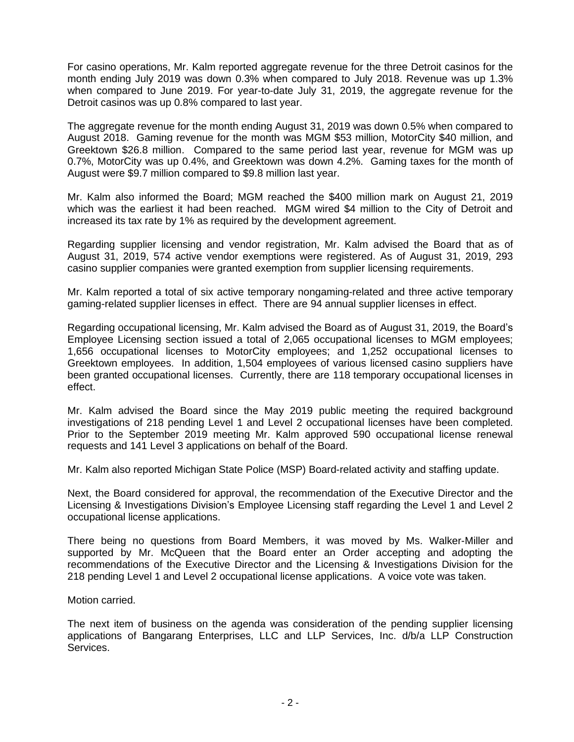For casino operations, Mr. Kalm reported aggregate revenue for the three Detroit casinos for the month ending July 2019 was down 0.3% when compared to July 2018. Revenue was up 1.3% when compared to June 2019. For year-to-date July 31, 2019, the aggregate revenue for the Detroit casinos was up 0.8% compared to last year.

The aggregate revenue for the month ending August 31, 2019 was down 0.5% when compared to August 2018. Gaming revenue for the month was MGM \$53 million, MotorCity \$40 million, and Greektown \$26.8 million. Compared to the same period last year, revenue for MGM was up 0.7%, MotorCity was up 0.4%, and Greektown was down 4.2%. Gaming taxes for the month of August were \$9.7 million compared to \$9.8 million last year.

Mr. Kalm also informed the Board; MGM reached the \$400 million mark on August 21, 2019 which was the earliest it had been reached. MGM wired \$4 million to the City of Detroit and increased its tax rate by 1% as required by the development agreement.

Regarding supplier licensing and vendor registration, Mr. Kalm advised the Board that as of August 31, 2019, 574 active vendor exemptions were registered. As of August 31, 2019, 293 casino supplier companies were granted exemption from supplier licensing requirements.

Mr. Kalm reported a total of six active temporary nongaming-related and three active temporary gaming-related supplier licenses in effect. There are 94 annual supplier licenses in effect.

Regarding occupational licensing, Mr. Kalm advised the Board as of August 31, 2019, the Board's Employee Licensing section issued a total of 2,065 occupational licenses to MGM employees; 1,656 occupational licenses to MotorCity employees; and 1,252 occupational licenses to Greektown employees. In addition, 1,504 employees of various licensed casino suppliers have been granted occupational licenses. Currently, there are 118 temporary occupational licenses in effect.

Mr. Kalm advised the Board since the May 2019 public meeting the required background investigations of 218 pending Level 1 and Level 2 occupational licenses have been completed. Prior to the September 2019 meeting Mr. Kalm approved 590 occupational license renewal requests and 141 Level 3 applications on behalf of the Board.

Mr. Kalm also reported Michigan State Police (MSP) Board-related activity and staffing update.

Next, the Board considered for approval, the recommendation of the Executive Director and the Licensing & Investigations Division's Employee Licensing staff regarding the Level 1 and Level 2 occupational license applications.

There being no questions from Board Members, it was moved by Ms. Walker-Miller and supported by Mr. McQueen that the Board enter an Order accepting and adopting the recommendations of the Executive Director and the Licensing & Investigations Division for the 218 pending Level 1 and Level 2 occupational license applications. A voice vote was taken.

Motion carried.

The next item of business on the agenda was consideration of the pending supplier licensing applications of Bangarang Enterprises, LLC and LLP Services, Inc. d/b/a LLP Construction Services.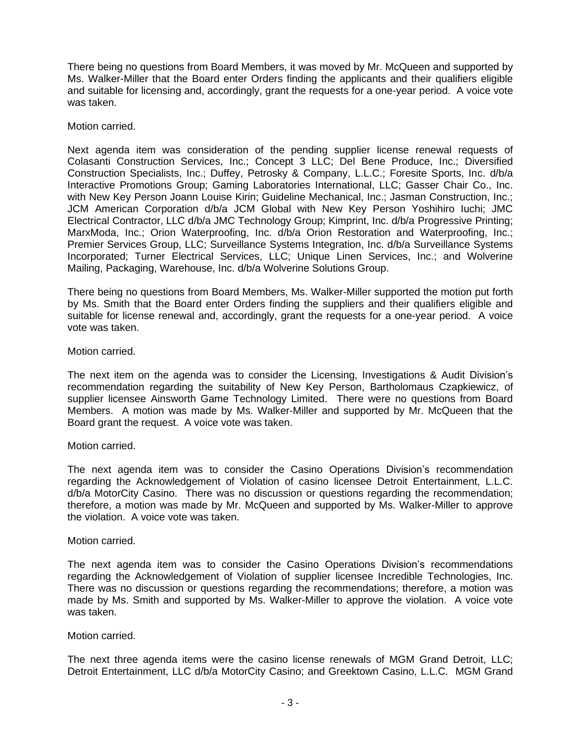There being no questions from Board Members, it was moved by Mr. McQueen and supported by Ms. Walker-Miller that the Board enter Orders finding the applicants and their qualifiers eligible and suitable for licensing and, accordingly, grant the requests for a one-year period. A voice vote was taken.

Motion carried.

Next agenda item was consideration of the pending supplier license renewal requests of Colasanti Construction Services, Inc.; Concept 3 LLC; Del Bene Produce, Inc.; Diversified Construction Specialists, Inc.; Duffey, Petrosky & Company, L.L.C.; Foresite Sports, Inc. d/b/a Interactive Promotions Group; Gaming Laboratories International, LLC; Gasser Chair Co., Inc. with New Key Person Joann Louise Kirin; Guideline Mechanical, Inc.; Jasman Construction, Inc.; JCM American Corporation d/b/a JCM Global with New Key Person Yoshihiro Iuchi; JMC Electrical Contractor, LLC d/b/a JMC Technology Group; Kimprint, Inc. d/b/a Progressive Printing; MarxModa, Inc.; Orion Waterproofing, Inc. d/b/a Orion Restoration and Waterproofing, Inc.; Premier Services Group, LLC; Surveillance Systems Integration, Inc. d/b/a Surveillance Systems Incorporated; Turner Electrical Services, LLC; Unique Linen Services, Inc.; and Wolverine Mailing, Packaging, Warehouse, Inc. d/b/a Wolverine Solutions Group.

There being no questions from Board Members, Ms. Walker-Miller supported the motion put forth by Ms. Smith that the Board enter Orders finding the suppliers and their qualifiers eligible and suitable for license renewal and, accordingly, grant the requests for a one-year period. A voice vote was taken.

Motion carried.

The next item on the agenda was to consider the Licensing, Investigations & Audit Division's recommendation regarding the suitability of New Key Person, Bartholomaus Czapkiewicz, of supplier licensee Ainsworth Game Technology Limited. There were no questions from Board Members. A motion was made by Ms. Walker-Miller and supported by Mr. McQueen that the Board grant the request. A voice vote was taken.

# Motion carried.

The next agenda item was to consider the Casino Operations Division's recommendation regarding the Acknowledgement of Violation of casino licensee Detroit Entertainment, L.L.C. d/b/a MotorCity Casino. There was no discussion or questions regarding the recommendation; therefore, a motion was made by Mr. McQueen and supported by Ms. Walker-Miller to approve the violation. A voice vote was taken.

#### Motion carried.

The next agenda item was to consider the Casino Operations Division's recommendations regarding the Acknowledgement of Violation of supplier licensee Incredible Technologies, Inc. There was no discussion or questions regarding the recommendations; therefore, a motion was made by Ms. Smith and supported by Ms. Walker-Miller to approve the violation. A voice vote was taken.

#### Motion carried.

The next three agenda items were the casino license renewals of MGM Grand Detroit, LLC; Detroit Entertainment, LLC d/b/a MotorCity Casino; and Greektown Casino, L.L.C. MGM Grand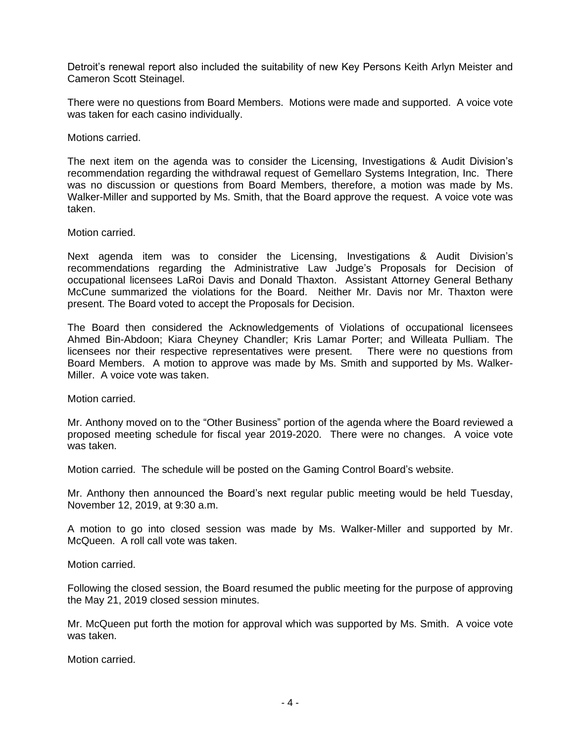Detroit's renewal report also included the suitability of new Key Persons Keith Arlyn Meister and Cameron Scott Steinagel.

There were no questions from Board Members. Motions were made and supported. A voice vote was taken for each casino individually.

Motions carried.

The next item on the agenda was to consider the Licensing, Investigations & Audit Division's recommendation regarding the withdrawal request of Gemellaro Systems Integration, Inc. There was no discussion or questions from Board Members, therefore, a motion was made by Ms. Walker-Miller and supported by Ms. Smith, that the Board approve the request. A voice vote was taken.

Motion carried.

Next agenda item was to consider the Licensing, Investigations & Audit Division's recommendations regarding the Administrative Law Judge's Proposals for Decision of occupational licensees LaRoi Davis and Donald Thaxton. Assistant Attorney General Bethany McCune summarized the violations for the Board. Neither Mr. Davis nor Mr. Thaxton were present. The Board voted to accept the Proposals for Decision.

The Board then considered the Acknowledgements of Violations of occupational licensees Ahmed Bin-Abdoon; Kiara Cheyney Chandler; Kris Lamar Porter; and Willeata Pulliam. The licensees nor their respective representatives were present. There were no questions from Board Members. A motion to approve was made by Ms. Smith and supported by Ms. Walker-Miller. A voice vote was taken.

Motion carried.

Mr. Anthony moved on to the "Other Business" portion of the agenda where the Board reviewed a proposed meeting schedule for fiscal year 2019-2020. There were no changes. A voice vote was taken.

Motion carried. The schedule will be posted on the Gaming Control Board's website.

Mr. Anthony then announced the Board's next regular public meeting would be held Tuesday, November 12, 2019, at 9:30 a.m.

A motion to go into closed session was made by Ms. Walker-Miller and supported by Mr. McQueen. A roll call vote was taken.

Motion carried.

Following the closed session, the Board resumed the public meeting for the purpose of approving the May 21, 2019 closed session minutes.

Mr. McQueen put forth the motion for approval which was supported by Ms. Smith. A voice vote was taken.

Motion carried.